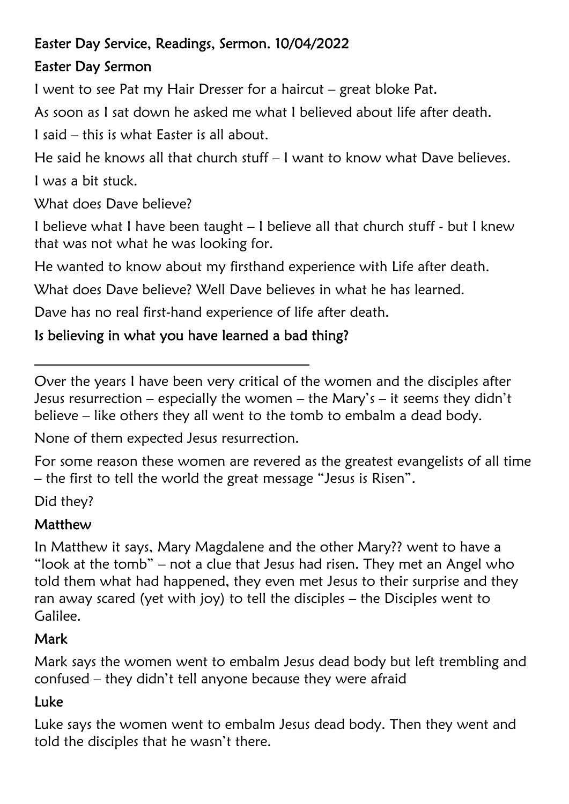#### Easter Day Service, Readings, Sermon. 10/04/2022

### Easter Day Sermon

I went to see Pat my Hair Dresser for a haircut – great bloke Pat.

As soon as I sat down he asked me what I believed about life after death.

I said – this is what Easter is all about.

He said he knows all that church stuff – I want to know what Dave believes. I was a bit stuck.

What does Dave believe?

I believe what I have been taught – I believe all that church stuff - but I knew that was not what he was looking for.

He wanted to know about my firsthand experience with Life after death.

What does Dave believe? Well Dave believes in what he has learned.

Dave has no real first-hand experience of life after death.

### Is believing in what you have learned a bad thing?

Over the years I have been very critical of the women and the disciples after Jesus resurrection – especially the women – the Mary's – it seems they didn't believe – like others they all went to the tomb to embalm a dead body.

None of them expected Jesus resurrection.

For some reason these women are revered as the greatest evangelists of all time – the first to tell the world the great message "Jesus is Risen".

Did they?

# Matthew

In Matthew it says, Mary Magdalene and the other Mary?? went to have a "look at the tomb" – not a clue that Jesus had risen. They met an Angel who told them what had happened, they even met Jesus to their surprise and they ran away scared (yet with joy) to tell the disciples – the Disciples went to Galilee.

# **Mark**

Mark says the women went to embalm Jesus dead body but left trembling and confused – they didn't tell anyone because they were afraid

# Luke

Luke says the women went to embalm Jesus dead body. Then they went and told the disciples that he wasn't there.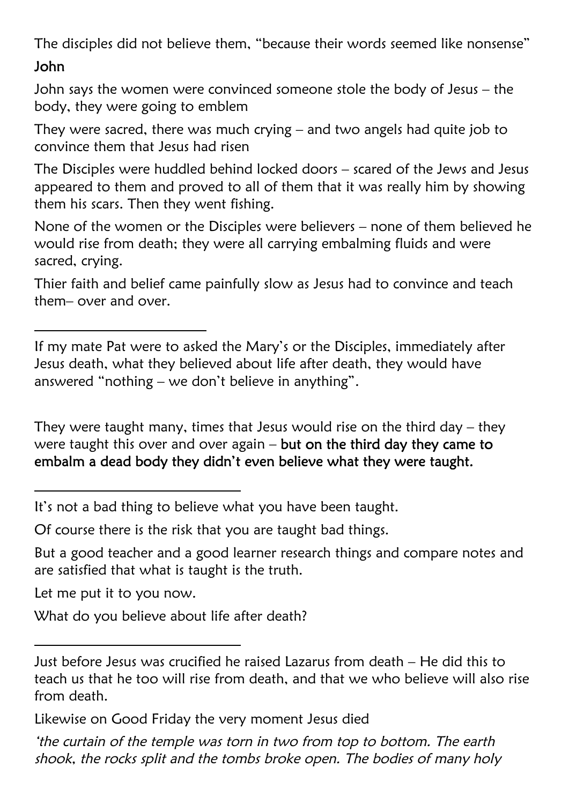The disciples did not believe them, "because their words seemed like nonsense"

#### John

John says the women were convinced someone stole the body of Jesus – the body, they were going to emblem

They were sacred, there was much crying – and two angels had quite job to convince them that Jesus had risen

The Disciples were huddled behind locked doors – scared of the Jews and Jesus appeared to them and proved to all of them that it was really him by showing them his scars. Then they went fishing.

None of the women or the Disciples were believers – none of them believed he would rise from death; they were all carrying embalming fluids and were sacred, crying.

Thier faith and belief came painfully slow as Jesus had to convince and teach them– over and over.

If my mate Pat were to asked the Mary's or the Disciples, immediately after Jesus death, what they believed about life after death, they would have answered "nothing – we don't believe in anything".

They were taught many, times that Jesus would rise on the third day – they were taught this over and over again – but on the third day they came to embalm a dead body they didn't even believe what they were taught.

It's not a bad thing to believe what you have been taught.

Of course there is the risk that you are taught bad things.

But a good teacher and a good learner research things and compare notes and are satisfied that what is taught is the truth.

Let me put it to you now.

What do you believe about life after death?

Just before Jesus was crucified he raised Lazarus from death – He did this to teach us that he too will rise from death, and that we who believe will also rise from death.

Likewise on Good Friday the very moment Jesus died

<sup>&#</sup>x27;the curtain of the temple was torn in two from top to bottom. The earth shook, the rocks split and the tombs broke open. The bodies of many holy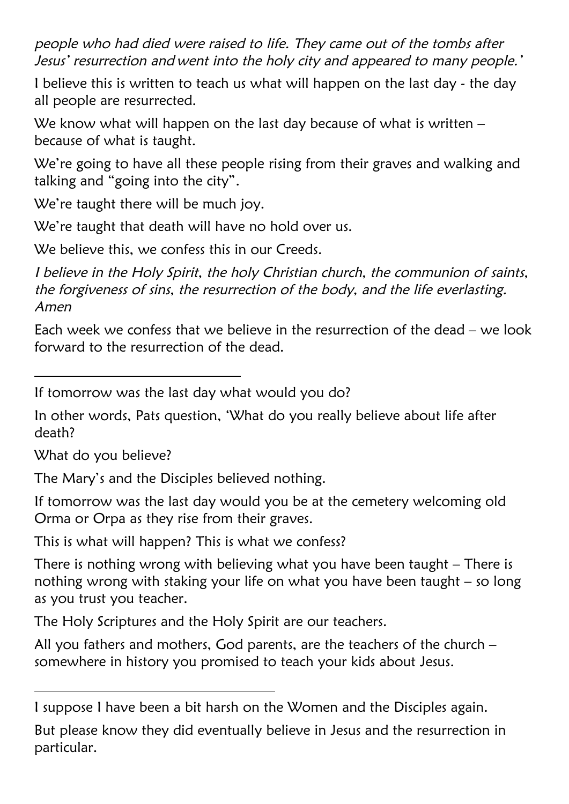people who had died were raised to life. They came out of the tombs after Jesus' resurrection and went into the holy city and appeared to many people.'

I believe this is written to teach us what will happen on the last day - the day all people are resurrected.

We know what will happen on the last day because of what is written – because of what is taught.

We're going to have all these people rising from their graves and walking and talking and "going into the city".

We're taught there will be much joy.

We're taught that death will have no hold over us.

We believe this, we confess this in our Creeds.

I believe in the Holy Spirit, the holy Christian church, the communion of saints, the forgiveness of sins, the resurrection of the body, and the life everlasting. Amen

Each week we confess that we believe in the resurrection of the dead – we look forward to the resurrection of the dead.

If tomorrow was the last day what would you do?

In other words, Pats question, 'What do you really believe about life after death?

What do you believe?

The Mary's and the Disciples believed nothing.

If tomorrow was the last day would you be at the cemetery welcoming old Orma or Orpa as they rise from their graves.

This is what will happen? This is what we confess?

There is nothing wrong with believing what you have been taught – There is nothing wrong with staking your life on what you have been taught – so long as you trust you teacher.

The Holy Scriptures and the Holy Spirit are our teachers.

All you fathers and mothers, God parents, are the teachers of the church – somewhere in history you promised to teach your kids about Jesus.

I suppose I have been a bit harsh on the Women and the Disciples again.

But please know they did eventually believe in Jesus and the resurrection in particular.